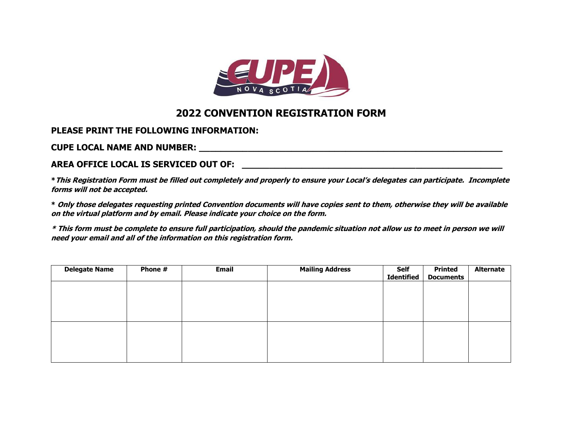

# **2022 CONVENTION REGISTRATION FORM**

## **PLEASE PRINT THE FOLLOWING INFORMATION:**

**CUPE LOCAL NAME AND NUMBER: \_\_\_\_\_\_\_\_\_\_\_\_\_\_\_\_\_\_\_\_\_\_\_\_\_\_\_\_\_\_\_\_\_\_\_\_\_\_\_\_\_\_\_\_\_\_\_\_\_\_\_\_\_\_\_\_** 

#### **AREA OFFICE LOCAL IS SERVICED OUT OF: \_\_\_\_\_\_\_\_\_\_\_\_\_\_\_\_\_\_\_\_\_\_\_\_\_\_\_\_\_\_\_\_\_\_\_\_\_\_\_\_\_\_\_\_\_\_\_\_**

**\*This Registration Form must be filled out completely and properly to ensure your Local's delegates can participate. Incomplete forms will not be accepted.** 

**\* Only those delegates requesting printed Convention documents will have copies sent to them, otherwise they will be available on the virtual platform and by email. Please indicate your choice on the form.**

**\* This form must be complete to ensure full participation, should the pandemic situation not allow us to meet in person we will need your email and all of the information on this registration form.**

| <b>Delegate Name</b> | Phone # | <b>Email</b> | <b>Mailing Address</b> | Self<br><b>Identified</b> | <b>Printed</b><br><b>Documents</b> | <b>Alternate</b> |
|----------------------|---------|--------------|------------------------|---------------------------|------------------------------------|------------------|
|                      |         |              |                        |                           |                                    |                  |
|                      |         |              |                        |                           |                                    |                  |
|                      |         |              |                        |                           |                                    |                  |
|                      |         |              |                        |                           |                                    |                  |
|                      |         |              |                        |                           |                                    |                  |
|                      |         |              |                        |                           |                                    |                  |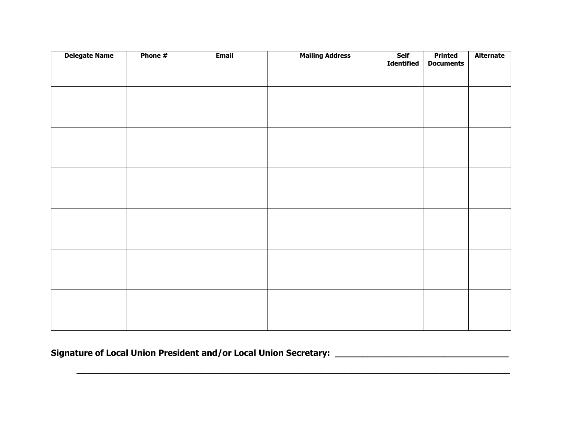| <b>Delegate Name</b> | Phone # | <b>Email</b> | <b>Mailing Address</b> | Self<br>Identified | <b>Printed</b><br><b>Documents</b> | <b>Alternate</b> |
|----------------------|---------|--------------|------------------------|--------------------|------------------------------------|------------------|
|                      |         |              |                        |                    |                                    |                  |
|                      |         |              |                        |                    |                                    |                  |
|                      |         |              |                        |                    |                                    |                  |
|                      |         |              |                        |                    |                                    |                  |
|                      |         |              |                        |                    |                                    |                  |
|                      |         |              |                        |                    |                                    |                  |
|                      |         |              |                        |                    |                                    |                  |
|                      |         |              |                        |                    |                                    |                  |
|                      |         |              |                        |                    |                                    |                  |
|                      |         |              |                        |                    |                                    |                  |
|                      |         |              |                        |                    |                                    |                  |
|                      |         |              |                        |                    |                                    |                  |
|                      |         |              |                        |                    |                                    |                  |
|                      |         |              |                        |                    |                                    |                  |
|                      |         |              |                        |                    |                                    |                  |
|                      |         |              |                        |                    |                                    |                  |
|                      |         |              |                        |                    |                                    |                  |
|                      |         |              |                        |                    |                                    |                  |
|                      |         |              |                        |                    |                                    |                  |
|                      |         |              |                        |                    |                                    |                  |

**\_\_\_\_\_\_\_\_\_\_\_\_\_\_\_\_\_\_\_\_\_\_\_\_\_\_\_\_\_\_\_\_\_\_\_\_\_\_\_\_\_\_\_\_\_\_\_\_\_\_\_\_\_\_\_\_\_\_\_\_\_\_\_\_\_\_\_\_\_\_\_\_\_\_\_\_\_\_\_\_**

**Signature of Local Union President and/or Local Union Secretary: \_\_\_\_\_\_\_\_\_\_\_\_\_\_\_\_\_\_\_\_\_\_\_\_\_\_\_\_\_\_\_\_**